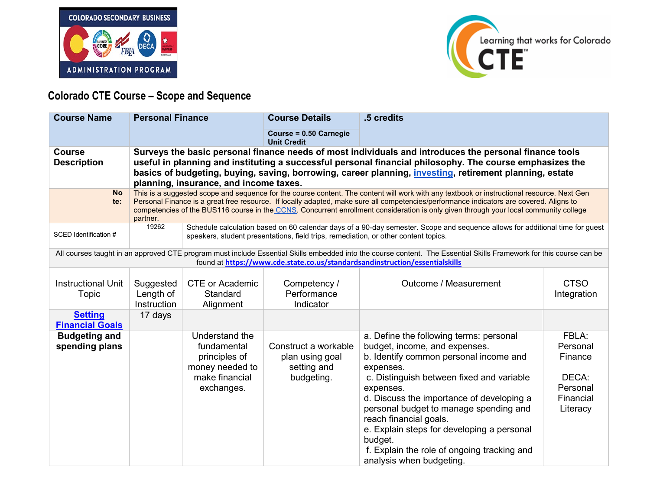



## **Colorado CTE Course – Scope and Sequence**

| <b>Course Name</b>                       | <b>Personal Finance</b>               |                                                                                                                                                                                                                                                                                                                                                                                 | <b>Course Details</b>                                                               | .5 credits                                                                                                                                                                                                                                                                                                                                                                                                                                     |                                                                            |  |  |  |
|------------------------------------------|---------------------------------------|---------------------------------------------------------------------------------------------------------------------------------------------------------------------------------------------------------------------------------------------------------------------------------------------------------------------------------------------------------------------------------|-------------------------------------------------------------------------------------|------------------------------------------------------------------------------------------------------------------------------------------------------------------------------------------------------------------------------------------------------------------------------------------------------------------------------------------------------------------------------------------------------------------------------------------------|----------------------------------------------------------------------------|--|--|--|
|                                          |                                       |                                                                                                                                                                                                                                                                                                                                                                                 | Course = 0.50 Carnegie<br><b>Unit Credit</b>                                        |                                                                                                                                                                                                                                                                                                                                                                                                                                                |                                                                            |  |  |  |
| <b>Course</b><br><b>Description</b>      |                                       | Surveys the basic personal finance needs of most individuals and introduces the personal finance tools<br>useful in planning and instituting a successful personal financial philosophy. The course emphasizes the<br>basics of budgeting, buying, saving, borrowing, career planning, <i>investing</i> , retirement planning, estate<br>planning, insurance, and income taxes. |                                                                                     |                                                                                                                                                                                                                                                                                                                                                                                                                                                |                                                                            |  |  |  |
| <b>No</b><br>te:                         | partner.                              |                                                                                                                                                                                                                                                                                                                                                                                 |                                                                                     | This is a suggested scope and sequence for the course content. The content will work with any textbook or instructional resource. Next Gen<br>Personal Finance is a great free resource. If locally adapted, make sure all competencies/performance indicators are covered. Aligns to<br>competencies of the BUS116 course in the CCNS. Concurrent enrollment consideration is only given through your local community college                 |                                                                            |  |  |  |
| SCED Identification #                    | 19262                                 |                                                                                                                                                                                                                                                                                                                                                                                 | speakers, student presentations, field trips, remediation, or other content topics. | Schedule calculation based on 60 calendar days of a 90-day semester. Scope and sequence allows for additional time for guest                                                                                                                                                                                                                                                                                                                   |                                                                            |  |  |  |
|                                          |                                       |                                                                                                                                                                                                                                                                                                                                                                                 |                                                                                     | All courses taught in an approved CTE program must include Essential Skills embedded into the course content. The Essential Skills Framework for this course can be<br>found at https://www.cde.state.co.us/standardsandinstruction/essentialskills                                                                                                                                                                                            |                                                                            |  |  |  |
| <b>Instructional Unit</b><br>Topic       | Suggested<br>Length of<br>Instruction | <b>CTE or Academic</b><br>Standard<br>Alignment                                                                                                                                                                                                                                                                                                                                 | Competency /<br>Performance<br>Indicator                                            | Outcome / Measurement                                                                                                                                                                                                                                                                                                                                                                                                                          | <b>CTSO</b><br>Integration                                                 |  |  |  |
| <b>Setting</b><br><b>Financial Goals</b> | 17 days                               |                                                                                                                                                                                                                                                                                                                                                                                 |                                                                                     |                                                                                                                                                                                                                                                                                                                                                                                                                                                |                                                                            |  |  |  |
| <b>Budgeting and</b><br>spending plans   |                                       | Understand the<br>fundamental<br>principles of<br>money needed to<br>make financial<br>exchanges.                                                                                                                                                                                                                                                                               | Construct a workable<br>plan using goal<br>setting and<br>budgeting.                | a. Define the following terms: personal<br>budget, income, and expenses.<br>b. Identify common personal income and<br>expenses.<br>c. Distinguish between fixed and variable<br>expenses.<br>d. Discuss the importance of developing a<br>personal budget to manage spending and<br>reach financial goals.<br>e. Explain steps for developing a personal<br>budget.<br>f. Explain the role of ongoing tracking and<br>analysis when budgeting. | FBLA:<br>Personal<br>Finance<br>DECA:<br>Personal<br>Financial<br>Literacy |  |  |  |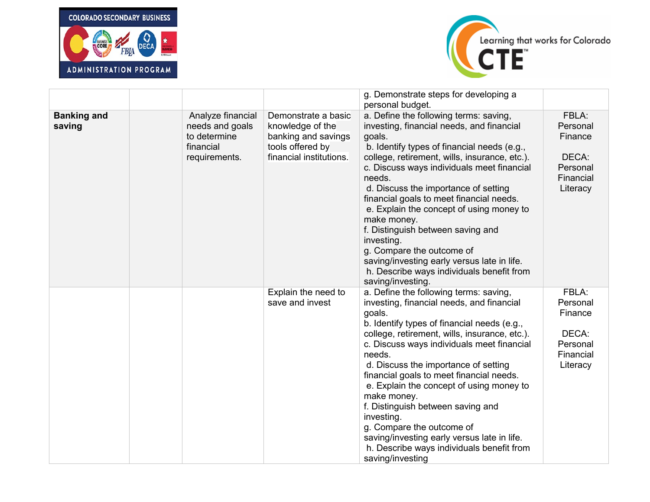



|                              |                                                                                    |                                                                                                               | g. Demonstrate steps for developing a<br>personal budget.                                                                                                                                                                                                                                                                                                                                                                                                                                                                                                                                             |                                                                            |
|------------------------------|------------------------------------------------------------------------------------|---------------------------------------------------------------------------------------------------------------|-------------------------------------------------------------------------------------------------------------------------------------------------------------------------------------------------------------------------------------------------------------------------------------------------------------------------------------------------------------------------------------------------------------------------------------------------------------------------------------------------------------------------------------------------------------------------------------------------------|----------------------------------------------------------------------------|
| <b>Banking and</b><br>saving | Analyze financial<br>needs and goals<br>to determine<br>financial<br>requirements. | Demonstrate a basic<br>knowledge of the<br>banking and savings<br>tools offered by<br>financial institutions. | a. Define the following terms: saving,<br>investing, financial needs, and financial<br>goals.<br>b. Identify types of financial needs (e.g.,<br>college, retirement, wills, insurance, etc.).<br>c. Discuss ways individuals meet financial<br>needs.<br>d. Discuss the importance of setting<br>financial goals to meet financial needs.<br>e. Explain the concept of using money to<br>make money.<br>f. Distinguish between saving and<br>investing.<br>g. Compare the outcome of<br>saving/investing early versus late in life.<br>h. Describe ways individuals benefit from<br>saving/investing. | FBLA:<br>Personal<br>Finance<br>DECA:<br>Personal<br>Financial<br>Literacy |
|                              |                                                                                    | Explain the need to<br>save and invest                                                                        | a. Define the following terms: saving,<br>investing, financial needs, and financial<br>goals.<br>b. Identify types of financial needs (e.g.,<br>college, retirement, wills, insurance, etc.).<br>c. Discuss ways individuals meet financial<br>needs.<br>d. Discuss the importance of setting<br>financial goals to meet financial needs.<br>e. Explain the concept of using money to<br>make money.<br>f. Distinguish between saving and<br>investing.<br>g. Compare the outcome of<br>saving/investing early versus late in life.<br>h. Describe ways individuals benefit from<br>saving/investing  | FBLA:<br>Personal<br>Finance<br>DECA:<br>Personal<br>Financial<br>Literacy |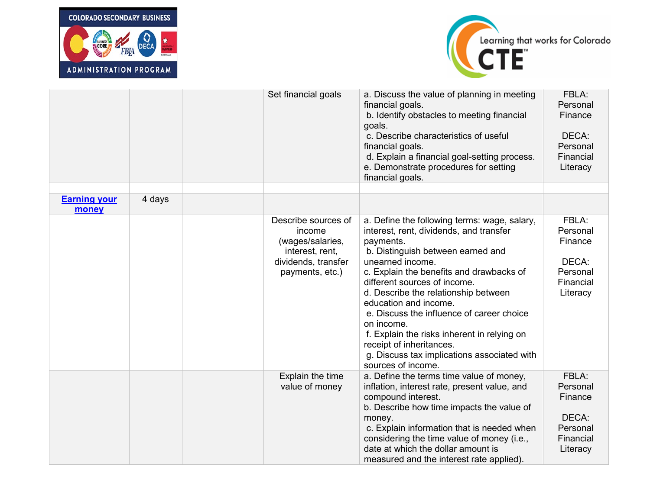



|                              |        | Set financial goals                                                                                            | a. Discuss the value of planning in meeting<br>financial goals.<br>b. Identify obstacles to meeting financial<br>goals.<br>c. Describe characteristics of useful<br>financial goals.<br>d. Explain a financial goal-setting process.<br>e. Demonstrate procedures for setting<br>financial goals.                                                                                                                                                                                                                     | FBLA:<br>Personal<br>Finance<br>DECA:<br>Personal<br>Financial<br>Literacy |
|------------------------------|--------|----------------------------------------------------------------------------------------------------------------|-----------------------------------------------------------------------------------------------------------------------------------------------------------------------------------------------------------------------------------------------------------------------------------------------------------------------------------------------------------------------------------------------------------------------------------------------------------------------------------------------------------------------|----------------------------------------------------------------------------|
| <b>Earning your</b><br>money | 4 days |                                                                                                                |                                                                                                                                                                                                                                                                                                                                                                                                                                                                                                                       |                                                                            |
|                              |        | Describe sources of<br>income<br>(wages/salaries,<br>interest, rent,<br>dividends, transfer<br>payments, etc.) | a. Define the following terms: wage, salary,<br>interest, rent, dividends, and transfer<br>payments.<br>b. Distinguish between earned and<br>unearned income.<br>c. Explain the benefits and drawbacks of<br>different sources of income.<br>d. Describe the relationship between<br>education and income.<br>e. Discuss the influence of career choice<br>on income.<br>f. Explain the risks inherent in relying on<br>receipt of inheritances.<br>g. Discuss tax implications associated with<br>sources of income. | FBLA:<br>Personal<br>Finance<br>DECA:<br>Personal<br>Financial<br>Literacy |
|                              |        | Explain the time<br>value of money                                                                             | a. Define the terms time value of money,<br>inflation, interest rate, present value, and<br>compound interest.<br>b. Describe how time impacts the value of<br>money.<br>c. Explain information that is needed when<br>considering the time value of money (i.e.,<br>date at which the dollar amount is<br>measured and the interest rate applied).                                                                                                                                                                   | FBLA:<br>Personal<br>Finance<br>DECA:<br>Personal<br>Financial<br>Literacy |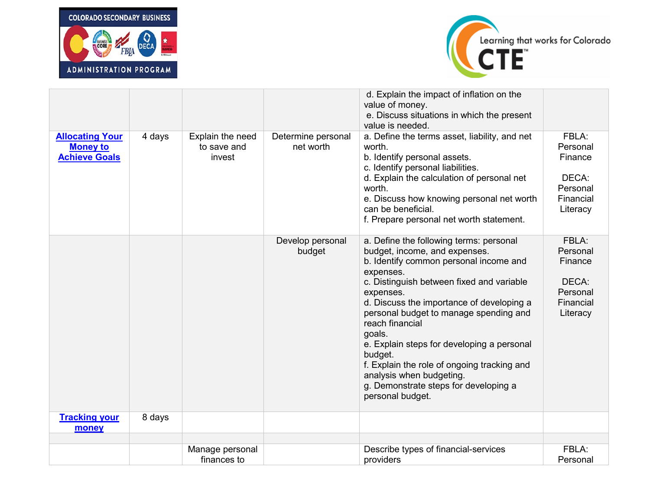



|                                                                   |        |                                           |                                 | d. Explain the impact of inflation on the<br>value of money.<br>e. Discuss situations in which the present<br>value is needed.                                                                                                                                                                                                                                                                                                                                                                                 |                                                                            |
|-------------------------------------------------------------------|--------|-------------------------------------------|---------------------------------|----------------------------------------------------------------------------------------------------------------------------------------------------------------------------------------------------------------------------------------------------------------------------------------------------------------------------------------------------------------------------------------------------------------------------------------------------------------------------------------------------------------|----------------------------------------------------------------------------|
| <b>Allocating Your</b><br><b>Money to</b><br><b>Achieve Goals</b> | 4 days | Explain the need<br>to save and<br>invest | Determine personal<br>net worth | a. Define the terms asset, liability, and net<br>worth.<br>b. Identify personal assets.<br>c. Identify personal liabilities.<br>d. Explain the calculation of personal net<br>worth.<br>e. Discuss how knowing personal net worth<br>can be beneficial.<br>f. Prepare personal net worth statement.                                                                                                                                                                                                            | FBLA:<br>Personal<br>Finance<br>DECA:<br>Personal<br>Financial<br>Literacy |
|                                                                   |        |                                           | Develop personal<br>budget      | a. Define the following terms: personal<br>budget, income, and expenses.<br>b. Identify common personal income and<br>expenses.<br>c. Distinguish between fixed and variable<br>expenses.<br>d. Discuss the importance of developing a<br>personal budget to manage spending and<br>reach financial<br>goals.<br>e. Explain steps for developing a personal<br>budget.<br>f. Explain the role of ongoing tracking and<br>analysis when budgeting.<br>g. Demonstrate steps for developing a<br>personal budget. | FBLA:<br>Personal<br>Finance<br>DECA:<br>Personal<br>Financial<br>Literacy |
| <b>Tracking your</b><br>money                                     | 8 days |                                           |                                 |                                                                                                                                                                                                                                                                                                                                                                                                                                                                                                                |                                                                            |
|                                                                   |        |                                           |                                 |                                                                                                                                                                                                                                                                                                                                                                                                                                                                                                                |                                                                            |
|                                                                   |        | Manage personal                           |                                 | Describe types of financial-services                                                                                                                                                                                                                                                                                                                                                                                                                                                                           | FBLA:                                                                      |
|                                                                   |        | finances to                               |                                 | providers                                                                                                                                                                                                                                                                                                                                                                                                                                                                                                      | Personal                                                                   |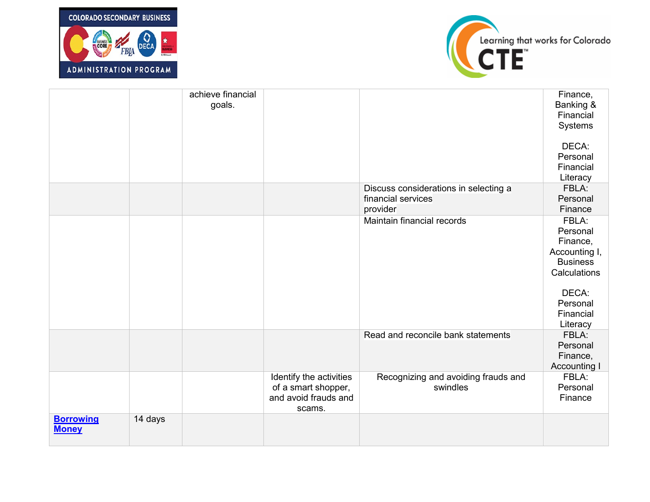



|                                  |         | achieve financial<br>goals. |                                                                                  |                                                                         | Finance,<br>Banking &<br>Financial<br>Systems<br>DECA:<br>Personal<br>Financial<br>Literacy                                     |
|----------------------------------|---------|-----------------------------|----------------------------------------------------------------------------------|-------------------------------------------------------------------------|---------------------------------------------------------------------------------------------------------------------------------|
|                                  |         |                             |                                                                                  | Discuss considerations in selecting a<br>financial services<br>provider | FBLA:<br>Personal<br>Finance                                                                                                    |
|                                  |         |                             |                                                                                  | Maintain financial records                                              | FBLA:<br>Personal<br>Finance,<br>Accounting I,<br><b>Business</b><br>Calculations<br>DECA:<br>Personal<br>Financial<br>Literacy |
|                                  |         |                             |                                                                                  | Read and reconcile bank statements                                      | FBLA:<br>Personal<br>Finance,<br><b>Accounting I</b>                                                                            |
|                                  |         |                             | Identify the activities<br>of a smart shopper,<br>and avoid frauds and<br>scams. | Recognizing and avoiding frauds and<br>swindles                         | FBLA:<br>Personal<br>Finance                                                                                                    |
| <b>Borrowing</b><br><b>Money</b> | 14 days |                             |                                                                                  |                                                                         |                                                                                                                                 |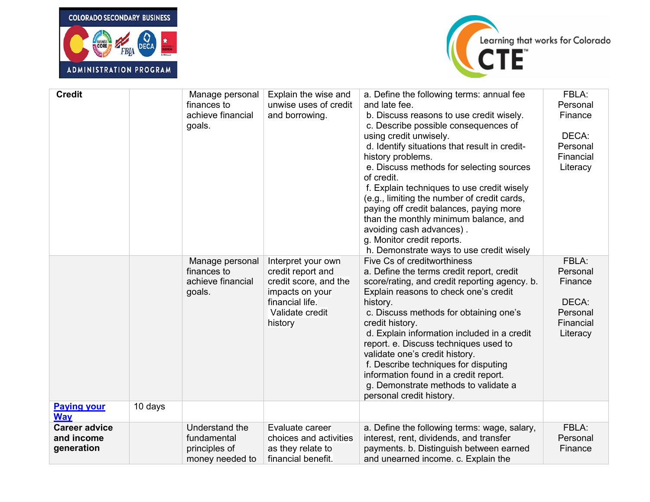



| <b>Credit</b>                                    |         | Manage personal<br>finances to<br>achieve financial<br>goals.     | Explain the wise and<br>unwise uses of credit<br>and borrowing.                                                                      | a. Define the following terms: annual fee<br>and late fee.<br>b. Discuss reasons to use credit wisely.<br>c. Describe possible consequences of<br>using credit unwisely.<br>d. Identify situations that result in credit-<br>history problems.<br>e. Discuss methods for selecting sources<br>of credit.<br>f. Explain techniques to use credit wisely<br>(e.g., limiting the number of credit cards,<br>paying off credit balances, paying more<br>than the monthly minimum balance, and<br>avoiding cash advances).<br>g. Monitor credit reports.<br>h. Demonstrate ways to use credit wisely | FBLA:<br>Personal<br>Finance<br>DECA:<br>Personal<br>Financial<br>Literacy |
|--------------------------------------------------|---------|-------------------------------------------------------------------|--------------------------------------------------------------------------------------------------------------------------------------|-------------------------------------------------------------------------------------------------------------------------------------------------------------------------------------------------------------------------------------------------------------------------------------------------------------------------------------------------------------------------------------------------------------------------------------------------------------------------------------------------------------------------------------------------------------------------------------------------|----------------------------------------------------------------------------|
|                                                  |         | Manage personal<br>finances to<br>achieve financial<br>goals.     | Interpret your own<br>credit report and<br>credit score, and the<br>impacts on your<br>financial life.<br>Validate credit<br>history | Five Cs of creditworthiness<br>a. Define the terms credit report, credit<br>score/rating, and credit reporting agency. b.<br>Explain reasons to check one's credit<br>history.<br>c. Discuss methods for obtaining one's<br>credit history.<br>d. Explain information included in a credit<br>report. e. Discuss techniques used to<br>validate one's credit history.<br>f. Describe techniques for disputing<br>information found in a credit report.<br>g. Demonstrate methods to validate a<br>personal credit history.                                                                      | FBLA:<br>Personal<br>Finance<br>DECA:<br>Personal<br>Financial<br>Literacy |
| <b>Paying your</b><br><b>Way</b>                 | 10 days |                                                                   |                                                                                                                                      |                                                                                                                                                                                                                                                                                                                                                                                                                                                                                                                                                                                                 |                                                                            |
| <b>Career advice</b><br>and income<br>generation |         | Understand the<br>fundamental<br>principles of<br>money needed to | Evaluate career<br>choices and activities<br>as they relate to<br>financial benefit.                                                 | a. Define the following terms: wage, salary,<br>interest, rent, dividends, and transfer<br>payments. b. Distinguish between earned<br>and unearned income. c. Explain the                                                                                                                                                                                                                                                                                                                                                                                                                       | FBLA:<br>Personal<br>Finance                                               |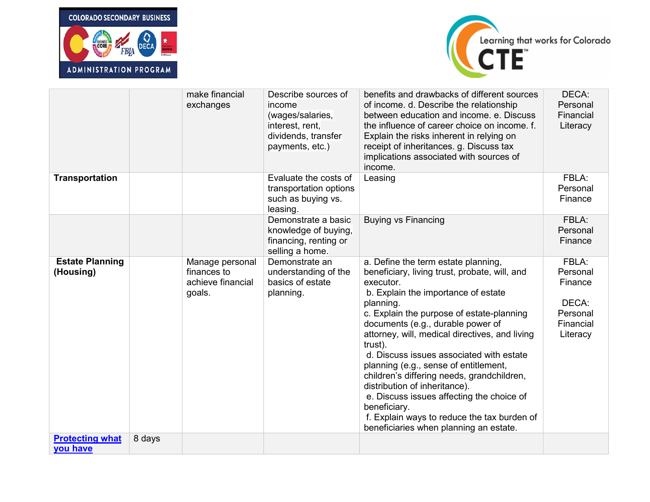



|                                     |        | make financial<br>exchanges                                   | Describe sources of<br>income<br>(wages/salaries,<br>interest, rent,<br>dividends, transfer<br>payments, etc.) | benefits and drawbacks of different sources<br>of income. d. Describe the relationship<br>between education and income. e. Discuss<br>the influence of career choice on income. f.<br>Explain the risks inherent in relying on<br>receipt of inheritances. g. Discuss tax<br>implications associated with sources of<br>income.                                                                                                                                                                                                                                                                                                | DECA:<br>Personal<br>Financial<br>Literacy                                 |
|-------------------------------------|--------|---------------------------------------------------------------|----------------------------------------------------------------------------------------------------------------|--------------------------------------------------------------------------------------------------------------------------------------------------------------------------------------------------------------------------------------------------------------------------------------------------------------------------------------------------------------------------------------------------------------------------------------------------------------------------------------------------------------------------------------------------------------------------------------------------------------------------------|----------------------------------------------------------------------------|
| Transportation                      |        |                                                               | Evaluate the costs of<br>transportation options<br>such as buying vs.<br>leasing.                              | Leasing                                                                                                                                                                                                                                                                                                                                                                                                                                                                                                                                                                                                                        | FBLA:<br>Personal<br>Finance                                               |
|                                     |        |                                                               | Demonstrate a basic<br>knowledge of buying,<br>financing, renting or<br>selling a home.                        | <b>Buying vs Financing</b>                                                                                                                                                                                                                                                                                                                                                                                                                                                                                                                                                                                                     | FBLA:<br>Personal<br>Finance                                               |
| <b>Estate Planning</b><br>(Housing) |        | Manage personal<br>finances to<br>achieve financial<br>goals. | Demonstrate an<br>understanding of the<br>basics of estate<br>planning.                                        | a. Define the term estate planning,<br>beneficiary, living trust, probate, will, and<br>executor.<br>b. Explain the importance of estate<br>planning.<br>c. Explain the purpose of estate-planning<br>documents (e.g., durable power of<br>attorney, will, medical directives, and living<br>trust).<br>d. Discuss issues associated with estate<br>planning (e.g., sense of entitlement,<br>children's differing needs, grandchildren,<br>distribution of inheritance).<br>e. Discuss issues affecting the choice of<br>beneficiary.<br>f. Explain ways to reduce the tax burden of<br>beneficiaries when planning an estate. | FBLA:<br>Personal<br>Finance<br>DECA:<br>Personal<br>Financial<br>Literacy |
| <b>Protecting what</b><br>you have  | 8 days |                                                               |                                                                                                                |                                                                                                                                                                                                                                                                                                                                                                                                                                                                                                                                                                                                                                |                                                                            |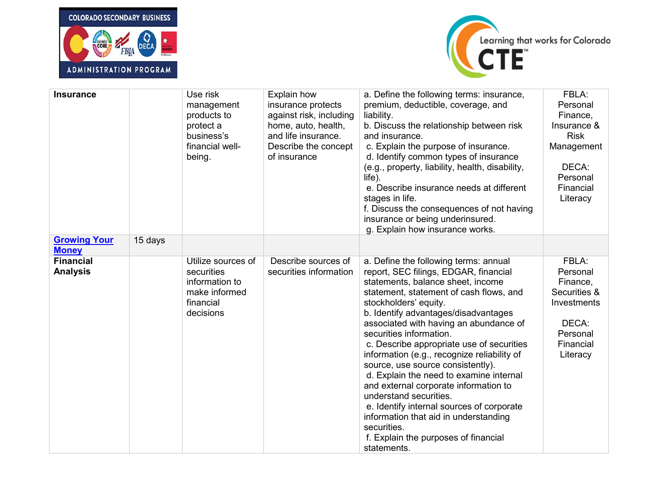



| <b>Insurance</b>                    |         | Use risk<br>management<br>products to<br>protect a<br>business's<br>financial well-<br>being. | Explain how<br>insurance protects<br>against risk, including<br>home, auto, health,<br>and life insurance.<br>Describe the concept<br>of insurance | a. Define the following terms: insurance,<br>premium, deductible, coverage, and<br>liability.<br>b. Discuss the relationship between risk<br>and insurance.<br>c. Explain the purpose of insurance.<br>d. Identify common types of insurance<br>(e.g., property, liability, health, disability,<br>$l$ ife).<br>e. Describe insurance needs at different<br>stages in life.<br>f. Discuss the consequences of not having<br>insurance or being underinsured.<br>g. Explain how insurance works.                                                                                                                                                                                                                 | FBLA:<br>Personal<br>Finance,<br>Insurance &<br><b>Risk</b><br>Management<br>DECA:<br>Personal<br>Financial<br>Literacy |
|-------------------------------------|---------|-----------------------------------------------------------------------------------------------|----------------------------------------------------------------------------------------------------------------------------------------------------|-----------------------------------------------------------------------------------------------------------------------------------------------------------------------------------------------------------------------------------------------------------------------------------------------------------------------------------------------------------------------------------------------------------------------------------------------------------------------------------------------------------------------------------------------------------------------------------------------------------------------------------------------------------------------------------------------------------------|-------------------------------------------------------------------------------------------------------------------------|
| <b>Growing Your</b><br><b>Money</b> | 15 days |                                                                                               |                                                                                                                                                    |                                                                                                                                                                                                                                                                                                                                                                                                                                                                                                                                                                                                                                                                                                                 |                                                                                                                         |
| <b>Financial</b><br><b>Analysis</b> |         | Utilize sources of<br>securities<br>information to<br>make informed<br>financial<br>decisions | Describe sources of<br>securities information                                                                                                      | a. Define the following terms: annual<br>report, SEC filings, EDGAR, financial<br>statements, balance sheet, income<br>statement, statement of cash flows, and<br>stockholders' equity.<br>b. Identify advantages/disadvantages<br>associated with having an abundance of<br>securities information.<br>c. Describe appropriate use of securities<br>information (e.g., recognize reliability of<br>source, use source consistently).<br>d. Explain the need to examine internal<br>and external corporate information to<br>understand securities.<br>e. Identify internal sources of corporate<br>information that aid in understanding<br>securities.<br>f. Explain the purposes of financial<br>statements. | FBLA:<br>Personal<br>Finance,<br>Securities &<br>Investments<br>DECA:<br>Personal<br>Financial<br>Literacy              |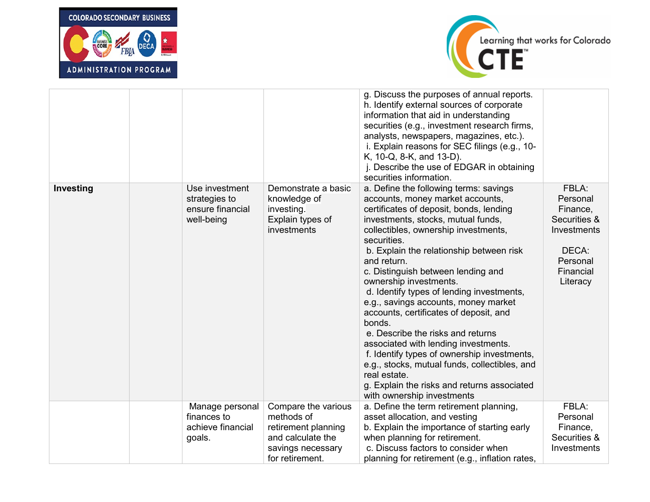



|           |                                                                   |                                                                                                                       | g. Discuss the purposes of annual reports.<br>h. Identify external sources of corporate<br>information that aid in understanding<br>securities (e.g., investment research firms,<br>analysts, newspapers, magazines, etc.).<br>i. Explain reasons for SEC filings (e.g., 10-<br>K, 10-Q, 8-K, and 13-D).<br>j. Describe the use of EDGAR in obtaining<br>securities information.                                                                                                                                                                                                                                                                                                                                                                                 |                                                                                                            |
|-----------|-------------------------------------------------------------------|-----------------------------------------------------------------------------------------------------------------------|------------------------------------------------------------------------------------------------------------------------------------------------------------------------------------------------------------------------------------------------------------------------------------------------------------------------------------------------------------------------------------------------------------------------------------------------------------------------------------------------------------------------------------------------------------------------------------------------------------------------------------------------------------------------------------------------------------------------------------------------------------------|------------------------------------------------------------------------------------------------------------|
| Investing | Use investment<br>strategies to<br>ensure financial<br>well-being | Demonstrate a basic<br>knowledge of<br>investing.<br>Explain types of<br>investments                                  | a. Define the following terms: savings<br>accounts, money market accounts,<br>certificates of deposit, bonds, lending<br>investments, stocks, mutual funds,<br>collectibles, ownership investments,<br>securities.<br>b. Explain the relationship between risk<br>and return.<br>c. Distinguish between lending and<br>ownership investments.<br>d. Identify types of lending investments,<br>e.g., savings accounts, money market<br>accounts, certificates of deposit, and<br>bonds.<br>e. Describe the risks and returns<br>associated with lending investments.<br>f. Identify types of ownership investments,<br>e.g., stocks, mutual funds, collectibles, and<br>real estate.<br>g. Explain the risks and returns associated<br>with ownership investments | FBLA:<br>Personal<br>Finance,<br>Securities &<br>Investments<br>DECA:<br>Personal<br>Financial<br>Literacy |
|           | Manage personal<br>finances to<br>achieve financial<br>goals.     | Compare the various<br>methods of<br>retirement planning<br>and calculate the<br>savings necessary<br>for retirement. | a. Define the term retirement planning,<br>asset allocation, and vesting<br>b. Explain the importance of starting early<br>when planning for retirement.<br>c. Discuss factors to consider when<br>planning for retirement (e.g., inflation rates,                                                                                                                                                                                                                                                                                                                                                                                                                                                                                                               | FBLA:<br>Personal<br>Finance,<br>Securities &<br>Investments                                               |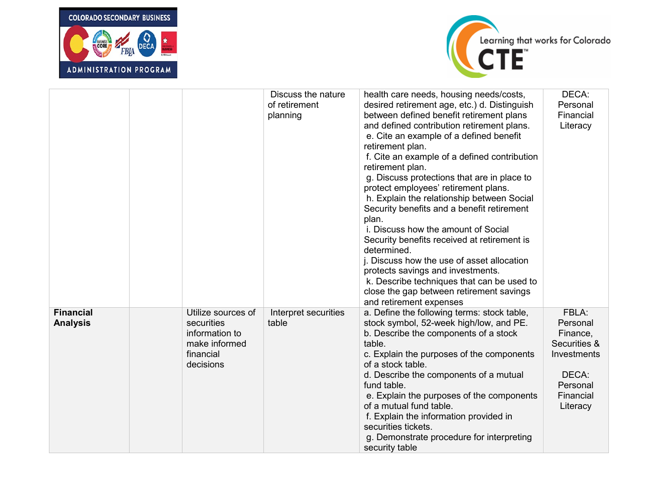



|                                     |                                                                                               | Discuss the nature<br>of retirement<br>planning | health care needs, housing needs/costs,<br>desired retirement age, etc.) d. Distinguish<br>between defined benefit retirement plans<br>and defined contribution retirement plans.<br>e. Cite an example of a defined benefit<br>retirement plan.<br>f. Cite an example of a defined contribution<br>retirement plan.<br>g. Discuss protections that are in place to<br>protect employees' retirement plans.<br>h. Explain the relationship between Social<br>Security benefits and a benefit retirement<br>plan.<br>i. Discuss how the amount of Social<br>Security benefits received at retirement is<br>determined.<br>j. Discuss how the use of asset allocation<br>protects savings and investments.<br>k. Describe techniques that can be used to<br>close the gap between retirement savings<br>and retirement expenses | DECA:<br>Personal<br>Financial<br>Literacy                                                                        |
|-------------------------------------|-----------------------------------------------------------------------------------------------|-------------------------------------------------|-------------------------------------------------------------------------------------------------------------------------------------------------------------------------------------------------------------------------------------------------------------------------------------------------------------------------------------------------------------------------------------------------------------------------------------------------------------------------------------------------------------------------------------------------------------------------------------------------------------------------------------------------------------------------------------------------------------------------------------------------------------------------------------------------------------------------------|-------------------------------------------------------------------------------------------------------------------|
| <b>Financial</b><br><b>Analysis</b> | Utilize sources of<br>securities<br>information to<br>make informed<br>financial<br>decisions | Interpret securities<br>table                   | a. Define the following terms: stock table,<br>stock symbol, 52-week high/low, and PE.<br>b. Describe the components of a stock<br>table.<br>c. Explain the purposes of the components<br>of a stock table.<br>d. Describe the components of a mutual<br>fund table.<br>e. Explain the purposes of the components<br>of a mutual fund table.<br>f. Explain the information provided in<br>securities tickets.<br>g. Demonstrate procedure for interpreting<br>security table                                                                                                                                                                                                                                                                                                                                                  | FBLA:<br>Personal<br>Finance,<br>Securities &<br><b>Investments</b><br>DECA:<br>Personal<br>Financial<br>Literacy |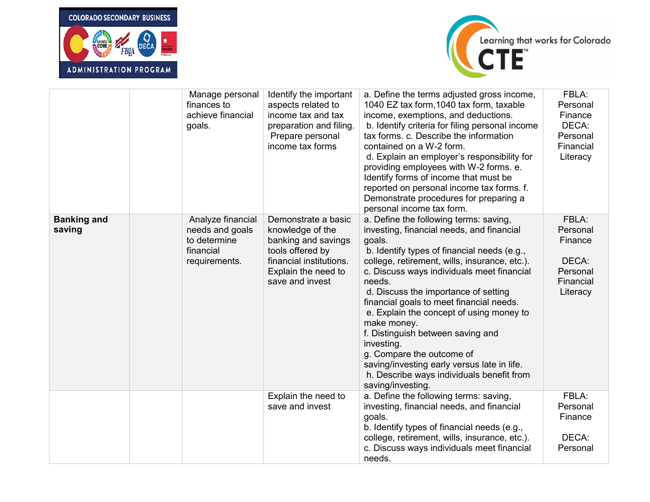



|                              | Manage personal<br>finances to<br>achieve financial<br>goals.                      | Identify the important<br>aspects related to<br>income tax and tax<br>preparation and filing.<br>Prepare personal<br>income tax forms                   | a. Define the terms adjusted gross income,<br>1040 EZ tax form, 1040 tax form, taxable<br>income, exemptions, and deductions.<br>b. Identify criteria for filing personal income<br>tax forms. c. Describe the information<br>contained on a W-2 form.<br>d. Explain an employer's responsibility for<br>providing employees with W-2 forms. e.<br>Identify forms of income that must be<br>reported on personal income tax forms. f.<br>Demonstrate procedures for preparing a<br>personal income tax form.                                                                                          | FBLA:<br>Personal<br>Finance<br>DECA:<br>Personal<br>Financial<br>Literacy |
|------------------------------|------------------------------------------------------------------------------------|---------------------------------------------------------------------------------------------------------------------------------------------------------|-------------------------------------------------------------------------------------------------------------------------------------------------------------------------------------------------------------------------------------------------------------------------------------------------------------------------------------------------------------------------------------------------------------------------------------------------------------------------------------------------------------------------------------------------------------------------------------------------------|----------------------------------------------------------------------------|
| <b>Banking and</b><br>saving | Analyze financial<br>needs and goals<br>to determine<br>financial<br>requirements. | Demonstrate a basic<br>knowledge of the<br>banking and savings<br>tools offered by<br>financial institutions.<br>Explain the need to<br>save and invest | a. Define the following terms: saving,<br>investing, financial needs, and financial<br>goals.<br>b. Identify types of financial needs (e.g.,<br>college, retirement, wills, insurance, etc.).<br>c. Discuss ways individuals meet financial<br>needs.<br>d. Discuss the importance of setting<br>financial goals to meet financial needs.<br>e. Explain the concept of using money to<br>make money.<br>f. Distinguish between saving and<br>investing.<br>g. Compare the outcome of<br>saving/investing early versus late in life.<br>h. Describe ways individuals benefit from<br>saving/investing. | FBLA:<br>Personal<br>Finance<br>DECA:<br>Personal<br>Financial<br>Literacy |
|                              |                                                                                    | Explain the need to<br>save and invest                                                                                                                  | a. Define the following terms: saving,<br>investing, financial needs, and financial<br>goals.<br>b. Identify types of financial needs (e.g.,<br>college, retirement, wills, insurance, etc.).<br>c. Discuss ways individuals meet financial<br>needs.                                                                                                                                                                                                                                                                                                                                                 | FBLA:<br>Personal<br>Finance<br>DECA:<br>Personal                          |